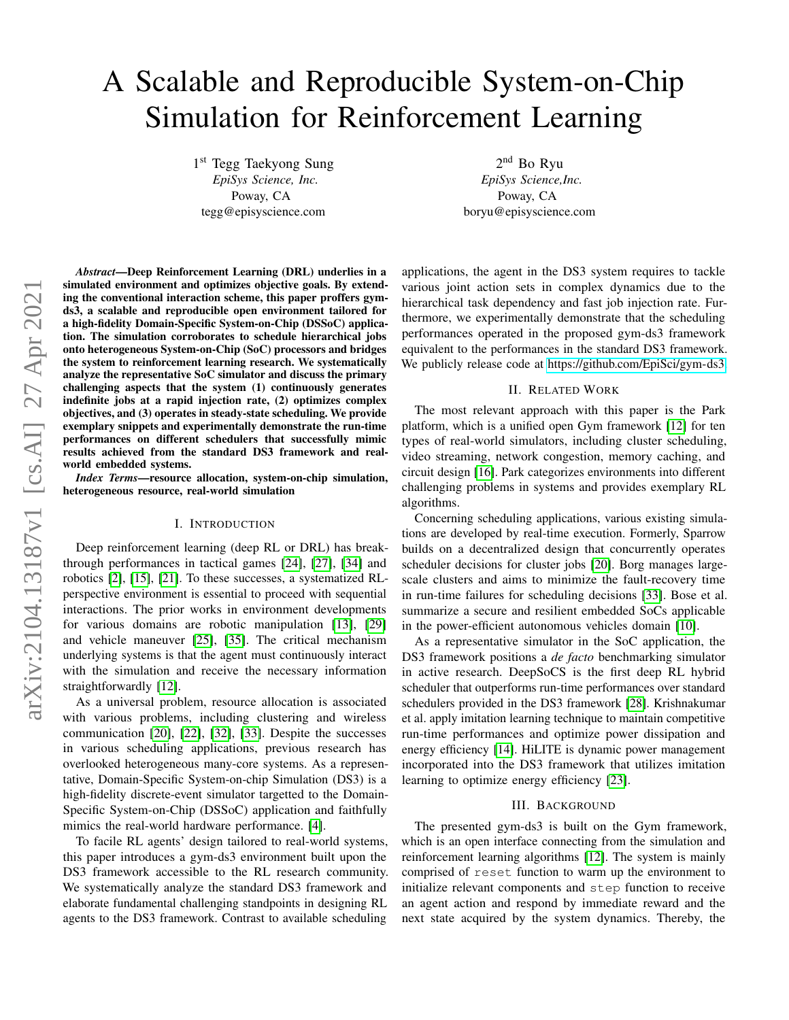# A Scalable and Reproducible System-on-Chip Simulation for Reinforcement Learning

1 st Tegg Taekyong Sung *EpiSys Science, Inc.* Poway, CA tegg@episyscience.com

2<sup>nd</sup> Bo Ryu *EpiSys Science,Inc.* Poway, CA boryu@episyscience.com

*Abstract*—Deep Reinforcement Learning (DRL) underlies in a simulated environment and optimizes objective goals. By extending the conventional interaction scheme, this paper proffers gymds3, a scalable and reproducible open environment tailored for a high-fidelity Domain-Specific System-on-Chip (DSSoC) application. The simulation corroborates to schedule hierarchical jobs onto heterogeneous System-on-Chip (SoC) processors and bridges the system to reinforcement learning research. We systematically analyze the representative SoC simulator and discuss the primary challenging aspects that the system (1) continuously generates indefinite jobs at a rapid injection rate, (2) optimizes complex objectives, and (3) operates in steady-state scheduling. We provide exemplary snippets and experimentally demonstrate the run-time performances on different schedulers that successfully mimic results achieved from the standard DS3 framework and realworld embedded systems.

*Index Terms*—resource allocation, system-on-chip simulation, heterogeneous resource, real-world simulation

## I. INTRODUCTION

Deep reinforcement learning (deep RL or DRL) has breakthrough performances in tactical games [\[24\]](#page-5-0), [\[27\]](#page-5-1), [\[34\]](#page-5-2) and robotics [\[2\]](#page-4-0), [\[15\]](#page-5-3), [\[21\]](#page-5-4). To these successes, a systematized RLperspective environment is essential to proceed with sequential interactions. The prior works in environment developments for various domains are robotic manipulation [\[13\]](#page-5-5), [\[29\]](#page-5-6) and vehicle maneuver [\[25\]](#page-5-7), [\[35\]](#page-5-8). The critical mechanism underlying systems is that the agent must continuously interact with the simulation and receive the necessary information straightforwardly [\[12\]](#page-5-9).

As a universal problem, resource allocation is associated with various problems, including clustering and wireless communication [\[20\]](#page-5-10), [\[22\]](#page-5-11), [\[32\]](#page-5-12), [\[33\]](#page-5-13). Despite the successes in various scheduling applications, previous research has overlooked heterogeneous many-core systems. As a representative, Domain-Specific System-on-chip Simulation (DS3) is a high-fidelity discrete-event simulator targetted to the Domain-Specific System-on-Chip (DSSoC) application and faithfully mimics the real-world hardware performance. [\[4\]](#page-4-1).

To facile RL agents' design tailored to real-world systems, this paper introduces a gym-ds3 environment built upon the DS3 framework accessible to the RL research community. We systematically analyze the standard DS3 framework and elaborate fundamental challenging standpoints in designing RL agents to the DS3 framework. Contrast to available scheduling

applications, the agent in the DS3 system requires to tackle various joint action sets in complex dynamics due to the hierarchical task dependency and fast job injection rate. Furthermore, we experimentally demonstrate that the scheduling performances operated in the proposed gym-ds3 framework equivalent to the performances in the standard DS3 framework. We publicly release code at [https://github.com/EpiSci/gym-ds3.](https://github.com/EpiSci/gym-ds3)

## II. RELATED WORK

The most relevant approach with this paper is the Park platform, which is a unified open Gym framework [\[12\]](#page-5-9) for ten types of real-world simulators, including cluster scheduling, video streaming, network congestion, memory caching, and circuit design [\[16\]](#page-5-14). Park categorizes environments into different challenging problems in systems and provides exemplary RL algorithms.

Concerning scheduling applications, various existing simulations are developed by real-time execution. Formerly, Sparrow builds on a decentralized design that concurrently operates scheduler decisions for cluster jobs [\[20\]](#page-5-10). Borg manages largescale clusters and aims to minimize the fault-recovery time in run-time failures for scheduling decisions [\[33\]](#page-5-13). Bose et al. summarize a secure and resilient embedded SoCs applicable in the power-efficient autonomous vehicles domain [\[10\]](#page-4-2).

As a representative simulator in the SoC application, the DS3 framework positions a *de facto* benchmarking simulator in active research. DeepSoCS is the first deep RL hybrid scheduler that outperforms run-time performances over standard schedulers provided in the DS3 framework [\[28\]](#page-5-15). Krishnakumar et al. apply imitation learning technique to maintain competitive run-time performances and optimize power dissipation and energy efficiency [\[14\]](#page-5-16). HiLITE is dynamic power management incorporated into the DS3 framework that utilizes imitation learning to optimize energy efficiency [\[23\]](#page-5-17).

## III. BACKGROUND

The presented gym-ds3 is built on the Gym framework, which is an open interface connecting from the simulation and reinforcement learning algorithms [\[12\]](#page-5-9). The system is mainly comprised of reset function to warm up the environment to initialize relevant components and step function to receive an agent action and respond by immediate reward and the next state acquired by the system dynamics. Thereby, the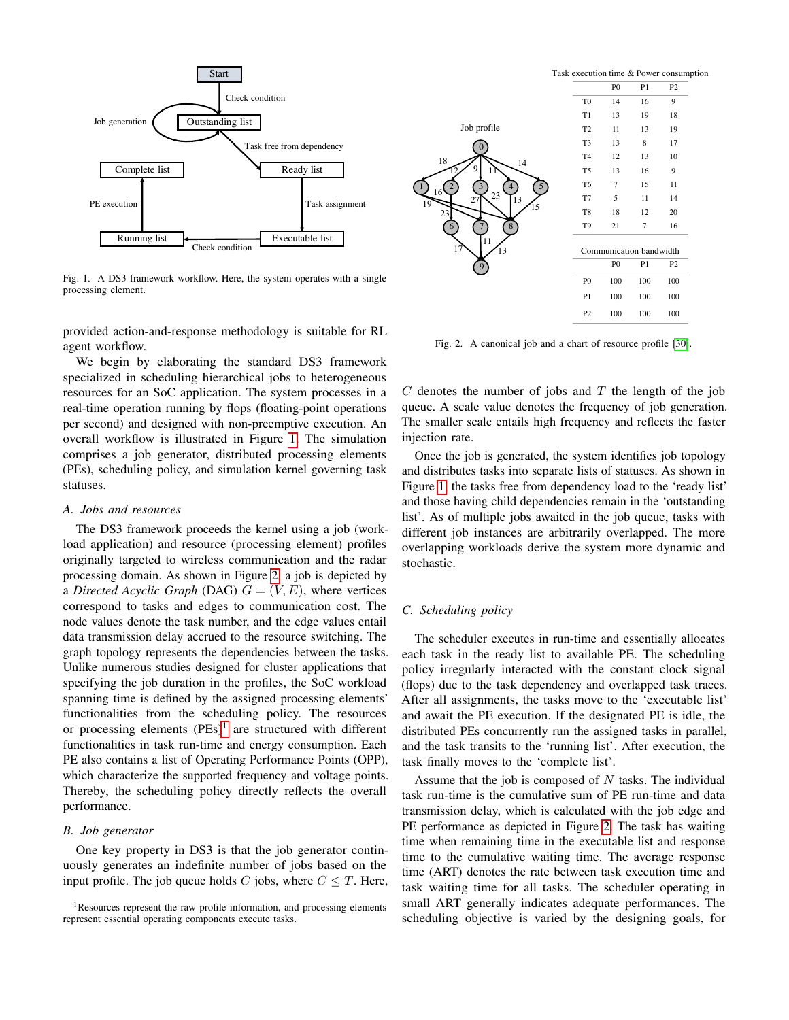

<span id="page-1-0"></span>Fig. 1. A DS3 framework workflow. Here, the system operates with a single processing element.

provided action-and-response methodology is suitable for RL agent workflow.

We begin by elaborating the standard DS3 framework specialized in scheduling hierarchical jobs to heterogeneous resources for an SoC application. The system processes in a real-time operation running by flops (floating-point operations per second) and designed with non-preemptive execution. An overall workflow is illustrated in Figure [1.](#page-1-0) The simulation comprises a job generator, distributed processing elements (PEs), scheduling policy, and simulation kernel governing task statuses.

## *A. Jobs and resources*

The DS3 framework proceeds the kernel using a job (workload application) and resource (processing element) profiles originally targeted to wireless communication and the radar processing domain. As shown in Figure [2,](#page-1-1) a job is depicted by a *Directed Acyclic Graph* (DAG)  $G = (V, E)$ , where vertices correspond to tasks and edges to communication cost. The node values denote the task number, and the edge values entail data transmission delay accrued to the resource switching. The graph topology represents the dependencies between the tasks. Unlike numerous studies designed for cluster applications that specifying the job duration in the profiles, the SoC workload spanning time is defined by the assigned processing elements' functionalities from the scheduling policy. The resources or processing elements  $(PEs)^1$  $(PEs)^1$  are structured with different functionalities in task run-time and energy consumption. Each PE also contains a list of Operating Performance Points (OPP), which characterize the supported frequency and voltage points. Thereby, the scheduling policy directly reflects the overall performance.

## *B. Job generator*

One key property in DS3 is that the job generator continuously generates an indefinite number of jobs based on the input profile. The job queue holds C jobs, where  $C \leq T$ . Here,



<span id="page-1-1"></span>Fig. 2. A canonical job and a chart of resource profile [\[30\]](#page-5-18).

 $C$  denotes the number of jobs and  $T$  the length of the job queue. A scale value denotes the frequency of job generation. The smaller scale entails high frequency and reflects the faster injection rate.

Once the job is generated, the system identifies job topology and distributes tasks into separate lists of statuses. As shown in Figure [1,](#page-1-0) the tasks free from dependency load to the 'ready list' and those having child dependencies remain in the 'outstanding list'. As of multiple jobs awaited in the job queue, tasks with different job instances are arbitrarily overlapped. The more overlapping workloads derive the system more dynamic and stochastic.

### *C. Scheduling policy*

The scheduler executes in run-time and essentially allocates each task in the ready list to available PE. The scheduling policy irregularly interacted with the constant clock signal (flops) due to the task dependency and overlapped task traces. After all assignments, the tasks move to the 'executable list' and await the PE execution. If the designated PE is idle, the distributed PEs concurrently run the assigned tasks in parallel, and the task transits to the 'running list'. After execution, the task finally moves to the 'complete list'.

Assume that the job is composed of  $N$  tasks. The individual task run-time is the cumulative sum of PE run-time and data transmission delay, which is calculated with the job edge and PE performance as depicted in Figure [2.](#page-1-1) The task has waiting time when remaining time in the executable list and response time to the cumulative waiting time. The average response time (ART) denotes the rate between task execution time and task waiting time for all tasks. The scheduler operating in small ART generally indicates adequate performances. The scheduling objective is varied by the designing goals, for

<span id="page-1-2"></span><sup>&</sup>lt;sup>1</sup>Resources represent the raw profile information, and processing elements represent essential operating components execute tasks.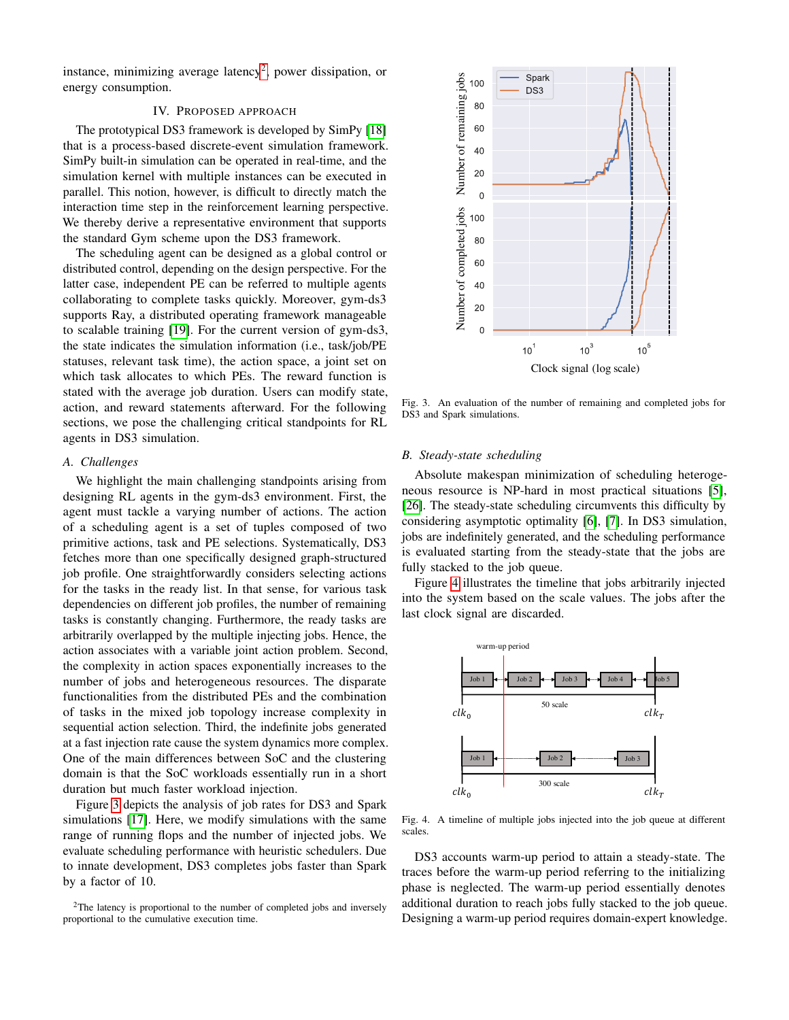instance, minimizing average latency<sup>[2](#page-2-0)</sup>, power dissipation, or energy consumption.

## IV. PROPOSED APPROACH

The prototypical DS3 framework is developed by SimPy [\[18\]](#page-5-19) that is a process-based discrete-event simulation framework. SimPy built-in simulation can be operated in real-time, and the simulation kernel with multiple instances can be executed in parallel. This notion, however, is difficult to directly match the interaction time step in the reinforcement learning perspective. We thereby derive a representative environment that supports the standard Gym scheme upon the DS3 framework.

The scheduling agent can be designed as a global control or distributed control, depending on the design perspective. For the latter case, independent PE can be referred to multiple agents collaborating to complete tasks quickly. Moreover, gym-ds3 supports Ray, a distributed operating framework manageable to scalable training [\[19\]](#page-5-20). For the current version of gym-ds3, the state indicates the simulation information (i.e., task/job/PE statuses, relevant task time), the action space, a joint set on which task allocates to which PEs. The reward function is stated with the average job duration. Users can modify state, action, and reward statements afterward. For the following sections, we pose the challenging critical standpoints for RL agents in DS3 simulation.

#### *A. Challenges*

We highlight the main challenging standpoints arising from designing RL agents in the gym-ds3 environment. First, the agent must tackle a varying number of actions. The action of a scheduling agent is a set of tuples composed of two primitive actions, task and PE selections. Systematically, DS3 fetches more than one specifically designed graph-structured job profile. One straightforwardly considers selecting actions for the tasks in the ready list. In that sense, for various task dependencies on different job profiles, the number of remaining tasks is constantly changing. Furthermore, the ready tasks are arbitrarily overlapped by the multiple injecting jobs. Hence, the action associates with a variable joint action problem. Second, the complexity in action spaces exponentially increases to the number of jobs and heterogeneous resources. The disparate functionalities from the distributed PEs and the combination of tasks in the mixed job topology increase complexity in sequential action selection. Third, the indefinite jobs generated at a fast injection rate cause the system dynamics more complex. One of the main differences between SoC and the clustering domain is that the SoC workloads essentially run in a short duration but much faster workload injection.

Figure [3](#page-2-1) depicts the analysis of job rates for DS3 and Spark simulations [\[17\]](#page-5-21). Here, we modify simulations with the same range of running flops and the number of injected jobs. We evaluate scheduling performance with heuristic schedulers. Due to innate development, DS3 completes jobs faster than Spark by a factor of 10.

<span id="page-2-0"></span>



<span id="page-2-1"></span>Fig. 3. An evaluation of the number of remaining and completed jobs for DS3 and Spark simulations.

## *B. Steady-state scheduling*

Absolute makespan minimization of scheduling heterogeneous resource is NP-hard in most practical situations [\[5\]](#page-4-3), [\[26\]](#page-5-22). The steady-state scheduling circumvents this difficulty by considering asymptotic optimality [\[6\]](#page-4-4), [\[7\]](#page-4-5). In DS3 simulation, jobs are indefinitely generated, and the scheduling performance is evaluated starting from the steady-state that the jobs are fully stacked to the job queue.

Figure [4](#page-2-2) illustrates the timeline that jobs arbitrarily injected into the system based on the scale values. The jobs after the last clock signal are discarded.



<span id="page-2-2"></span>Fig. 4. A timeline of multiple jobs injected into the job queue at different scales.

DS3 accounts warm-up period to attain a steady-state. The traces before the warm-up period referring to the initializing phase is neglected. The warm-up period essentially denotes additional duration to reach jobs fully stacked to the job queue. Designing a warm-up period requires domain-expert knowledge.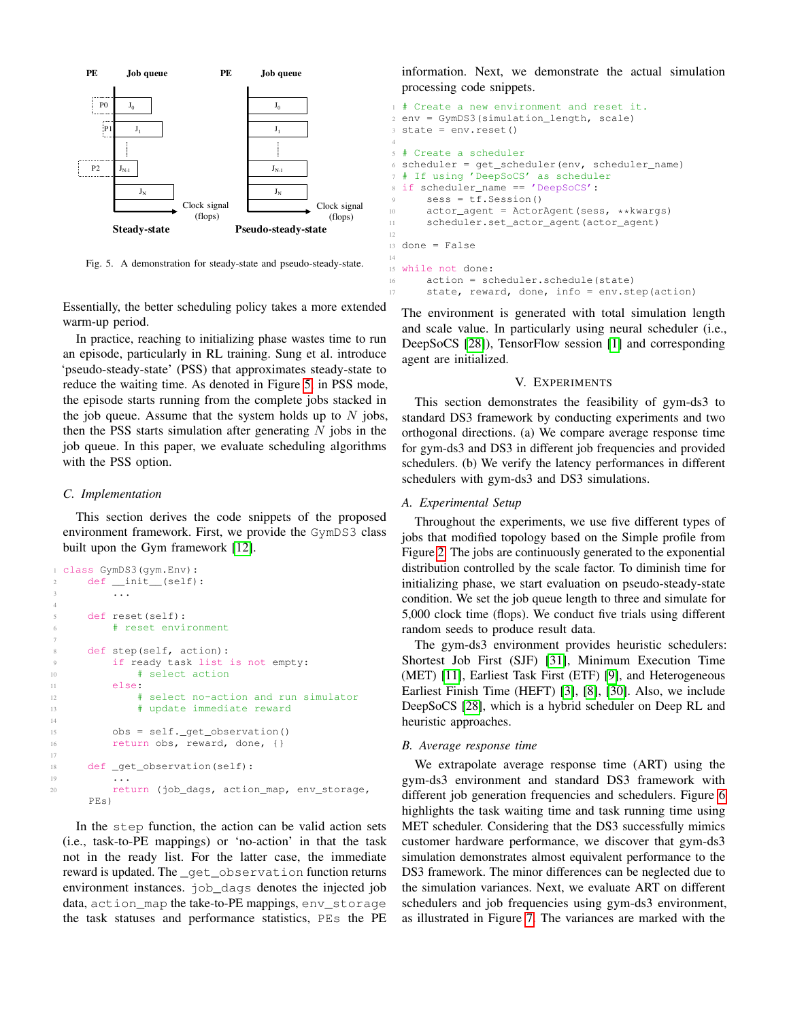

<span id="page-3-0"></span>Fig. 5. A demonstration for steady-state and pseudo-steady-state.

Essentially, the better scheduling policy takes a more extended warm-up period.

In practice, reaching to initializing phase wastes time to run an episode, particularly in RL training. Sung et al. introduce 'pseudo-steady-state' (PSS) that approximates steady-state to reduce the waiting time. As denoted in Figure [5,](#page-3-0) in PSS mode, the episode starts running from the complete jobs stacked in the job queue. Assume that the system holds up to  $N$  jobs, then the PSS starts simulation after generating  $N$  jobs in the job queue. In this paper, we evaluate scheduling algorithms with the PSS option.

#### *C. Implementation*

This section derives the code snippets of the proposed environment framework. First, we provide the GymDS3 class built upon the Gym framework [\[12\]](#page-5-9).

```
class GymDS3(gym.Env):
2 def __init__(self):
\overline{\phantom{a}} ...
4
5 def reset(self):
         # reset environment
7
     def step(self, action):
         if ready task list is not empty:
10 \qquad # select action
11 else:
12 # select no-action and run simulator
13 # update immediate reward
14
15 obs = self._get_observation()
16 return obs, reward, done, {}
17
18 def _get_observation(self):
19 . . .
20 return (job_dags, action_map, env_storage,
     PEs)
```
In the step function, the action can be valid action sets (i.e., task-to-PE mappings) or 'no-action' in that the task not in the ready list. For the latter case, the immediate reward is updated. The \_get\_observation function returns environment instances. job\_dags denotes the injected job data, action\_map the take-to-PE mappings, env\_storage the task statuses and performance statistics, PEs the PE information. Next, we demonstrate the actual simulation processing code snippets.

```
1 # Create a new environment and reset it.
2 env = GymDS3(simulation_length, scale)
3 state = env.reset()
4
5 # Create a scheduler
6 scheduler = get_scheduler(env, scheduler_name)
7 # If using 'DeepSoCS' as scheduler
8 if scheduler_name == 'DeepSoCS':
      9 sess = tf.Session()
10 actor_agent = ActorAgent(sess, **kwargs)
11 scheduler.set_actor_agent(actor_agent)
12
13 done = False
14
15 while not done:
16 action = scheduler.schedule(state)
17 state, reward, done, info = env.step(action)
```
The environment is generated with total simulation length and scale value. In particularly using neural scheduler (i.e., DeepSoCS [\[28\]](#page-5-15)), TensorFlow session [\[1\]](#page-4-6) and corresponding agent are initialized.

#### V. EXPERIMENTS

This section demonstrates the feasibility of gym-ds3 to standard DS3 framework by conducting experiments and two orthogonal directions. (a) We compare average response time for gym-ds3 and DS3 in different job frequencies and provided schedulers. (b) We verify the latency performances in different schedulers with gym-ds3 and DS3 simulations.

#### *A. Experimental Setup*

Throughout the experiments, we use five different types of jobs that modified topology based on the Simple profile from Figure [2.](#page-1-1) The jobs are continuously generated to the exponential distribution controlled by the scale factor. To diminish time for initializing phase, we start evaluation on pseudo-steady-state condition. We set the job queue length to three and simulate for 5,000 clock time (flops). We conduct five trials using different random seeds to produce result data.

The gym-ds3 environment provides heuristic schedulers: Shortest Job First (SJF) [\[31\]](#page-5-23), Minimum Execution Time (MET) [\[11\]](#page-5-24), Earliest Task First (ETF) [\[9\]](#page-4-7), and Heterogeneous Earliest Finish Time (HEFT) [\[3\]](#page-4-8), [\[8\]](#page-4-9), [\[30\]](#page-5-18). Also, we include DeepSoCS [\[28\]](#page-5-15), which is a hybrid scheduler on Deep RL and heuristic approaches.

## *B. Average response time*

We extrapolate average response time (ART) using the gym-ds3 environment and standard DS3 framework with different job generation frequencies and schedulers. Figure [6](#page-4-10) highlights the task waiting time and task running time using MET scheduler. Considering that the DS3 successfully mimics customer hardware performance, we discover that gym-ds3 simulation demonstrates almost equivalent performance to the DS3 framework. The minor differences can be neglected due to the simulation variances. Next, we evaluate ART on different schedulers and job frequencies using gym-ds3 environment, as illustrated in Figure [7.](#page-4-11) The variances are marked with the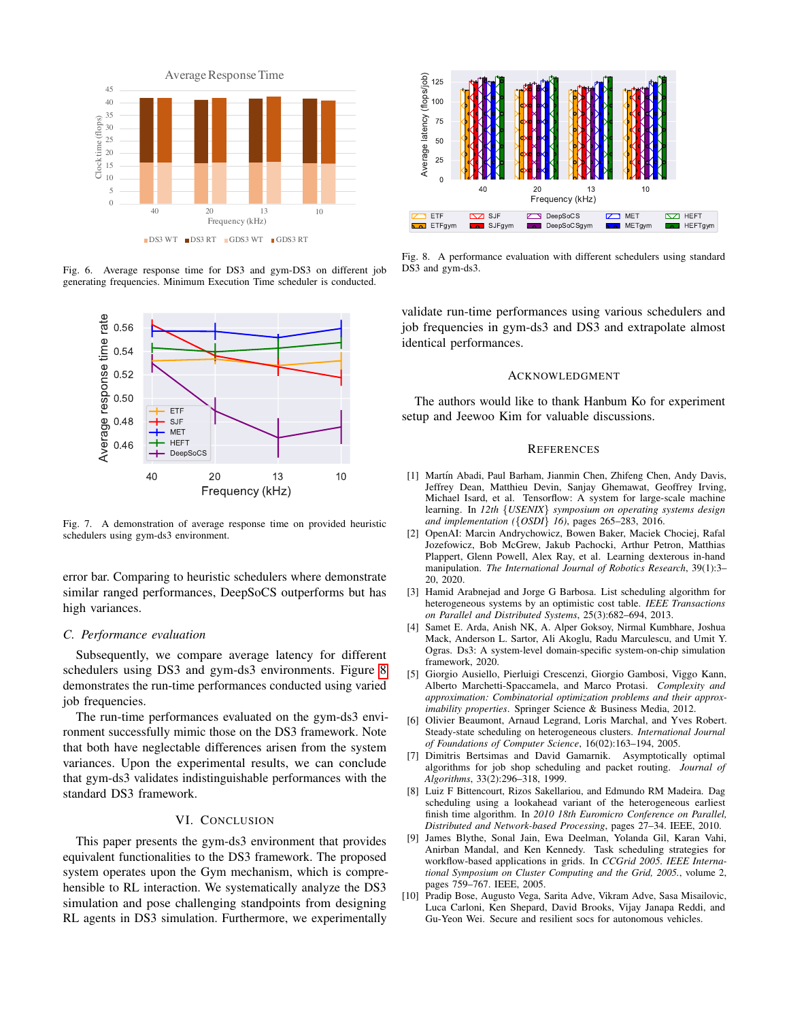

<span id="page-4-10"></span>Fig. 6. Average response time for DS3 and gym-DS3 on different job generating frequencies. Minimum Execution Time scheduler is conducted.



<span id="page-4-11"></span>Fig. 7. A demonstration of average response time on provided heuristic schedulers using gym-ds3 environment.

error bar. Comparing to heuristic schedulers where demonstrate similar ranged performances, DeepSoCS outperforms but has high variances.

#### *C. Performance evaluation*

Subsequently, we compare average latency for different schedulers using DS3 and gym-ds3 environments. Figure [8](#page-4-12) demonstrates the run-time performances conducted using varied job frequencies.

The run-time performances evaluated on the gym-ds3 environment successfully mimic those on the DS3 framework. Note that both have neglectable differences arisen from the system variances. Upon the experimental results, we can conclude that gym-ds3 validates indistinguishable performances with the standard DS3 framework.

## VI. CONCLUSION

This paper presents the gym-ds3 environment that provides equivalent functionalities to the DS3 framework. The proposed system operates upon the Gym mechanism, which is comprehensible to RL interaction. We systematically analyze the DS3 simulation and pose challenging standpoints from designing RL agents in DS3 simulation. Furthermore, we experimentally



<span id="page-4-12"></span>Fig. 8. A performance evaluation with different schedulers using standard DS3 and gym-ds3.

validate run-time performances using various schedulers and job frequencies in gym-ds3 and DS3 and extrapolate almost identical performances.

## ACKNOWLEDGMENT

The authors would like to thank Hanbum Ko for experiment setup and Jeewoo Kim for valuable discussions.

### **REFERENCES**

- <span id="page-4-6"></span>[1] Martín Abadi, Paul Barham, Jianmin Chen, Zhifeng Chen, Andy Davis, Jeffrey Dean, Matthieu Devin, Sanjay Ghemawat, Geoffrey Irving, Michael Isard, et al. Tensorflow: A system for large-scale machine learning. In *12th* {*USENIX*} *symposium on operating systems design and implementation (*{*OSDI*} *16)*, pages 265–283, 2016.
- <span id="page-4-0"></span>[2] OpenAI: Marcin Andrychowicz, Bowen Baker, Maciek Chociej, Rafal Jozefowicz, Bob McGrew, Jakub Pachocki, Arthur Petron, Matthias Plappert, Glenn Powell, Alex Ray, et al. Learning dexterous in-hand manipulation. *The International Journal of Robotics Research*, 39(1):3– 20, 2020.
- <span id="page-4-8"></span>[3] Hamid Arabnejad and Jorge G Barbosa. List scheduling algorithm for heterogeneous systems by an optimistic cost table. *IEEE Transactions on Parallel and Distributed Systems*, 25(3):682–694, 2013.
- <span id="page-4-1"></span>[4] Samet E. Arda, Anish NK, A. Alper Goksoy, Nirmal Kumbhare, Joshua Mack, Anderson L. Sartor, Ali Akoglu, Radu Marculescu, and Umit Y. Ogras. Ds3: A system-level domain-specific system-on-chip simulation framework, 2020.
- <span id="page-4-3"></span>[5] Giorgio Ausiello, Pierluigi Crescenzi, Giorgio Gambosi, Viggo Kann, Alberto Marchetti-Spaccamela, and Marco Protasi. *Complexity and approximation: Combinatorial optimization problems and their approximability properties*. Springer Science & Business Media, 2012.
- <span id="page-4-4"></span>[6] Olivier Beaumont, Arnaud Legrand, Loris Marchal, and Yves Robert. Steady-state scheduling on heterogeneous clusters. *International Journal of Foundations of Computer Science*, 16(02):163–194, 2005.
- <span id="page-4-5"></span>[7] Dimitris Bertsimas and David Gamarnik. Asymptotically optimal algorithms for job shop scheduling and packet routing. *Journal of Algorithms*, 33(2):296–318, 1999.
- <span id="page-4-9"></span>[8] Luiz F Bittencourt, Rizos Sakellariou, and Edmundo RM Madeira. Dag scheduling using a lookahead variant of the heterogeneous earliest finish time algorithm. In *2010 18th Euromicro Conference on Parallel, Distributed and Network-based Processing*, pages 27–34. IEEE, 2010.
- <span id="page-4-7"></span>[9] James Blythe, Sonal Jain, Ewa Deelman, Yolanda Gil, Karan Vahi, Anirban Mandal, and Ken Kennedy. Task scheduling strategies for workflow-based applications in grids. In *CCGrid 2005. IEEE International Symposium on Cluster Computing and the Grid, 2005.*, volume 2, pages 759–767. IEEE, 2005.
- <span id="page-4-2"></span>[10] Pradip Bose, Augusto Vega, Sarita Adve, Vikram Adve, Sasa Misailovic, Luca Carloni, Ken Shepard, David Brooks, Vijay Janapa Reddi, and Gu-Yeon Wei. Secure and resilient socs for autonomous vehicles.